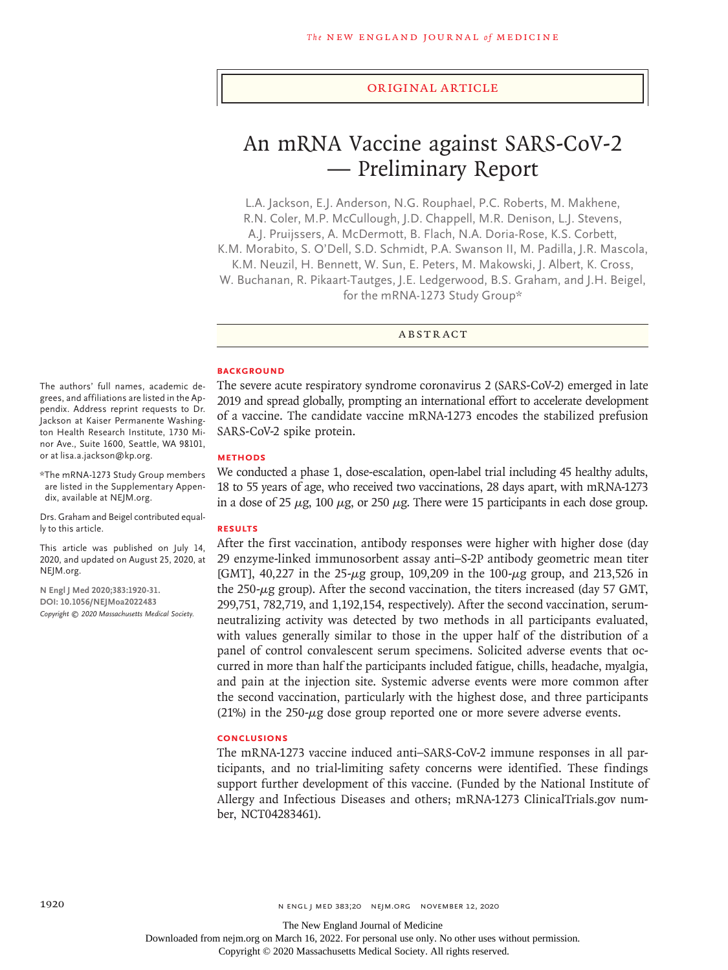#### Original Article

# An mRNA Vaccine against SARS-CoV-2 — Preliminary Report

L.A. Jackson, E.J. Anderson, N.G. Rouphael, P.C. Roberts, M. Makhene, R.N. Coler, M.P. McCullough, J.D. Chappell, M.R. Denison, L.J. Stevens, A.J. Pruijssers, A. McDermott, B. Flach, N.A. Doria-Rose, K.S. Corbett, K.M. Morabito, S. O'Dell, S.D. Schmidt, P.A. Swanson II, M. Padilla, J.R. Mascola, K.M. Neuzil, H. Bennett, W. Sun, E. Peters, M. Makowski, J. Albert, K. Cross, W. Buchanan, R. Pikaart-Tautges, J.E. Ledgerwood, B.S. Graham, and J.H. Beigel, for the mRNA-1273 Study Group\*

ABSTRACT

#### **BACKGROUND**

The severe acute respiratory syndrome coronavirus 2 (SARS-CoV-2) emerged in late 2019 and spread globally, prompting an international effort to accelerate development of a vaccine. The candidate vaccine mRNA-1273 encodes the stabilized prefusion SARS-CoV-2 spike protein.

#### **METHODS**

We conducted a phase 1, dose-escalation, open-label trial including 45 healthy adults, 18 to 55 years of age, who received two vaccinations, 28 days apart, with mRNA-1273 in a dose of 25  $\mu$ g, 100  $\mu$ g, or 250  $\mu$ g. There were 15 participants in each dose group.

#### **RESULTS**

After the first vaccination, antibody responses were higher with higher dose (day 29 enzyme-linked immunosorbent assay anti–S-2P antibody geometric mean titer [GMT], 40,227 in the 25-μg group, 109,209 in the 100-μg group, and 213,526 in the 250-μg group). After the second vaccination, the titers increased (day 57 GMT, 299,751, 782,719, and 1,192,154, respectively). After the second vaccination, serumneutralizing activity was detected by two methods in all participants evaluated, with values generally similar to those in the upper half of the distribution of a panel of control convalescent serum specimens. Solicited adverse events that occurred in more than half the participants included fatigue, chills, headache, myalgia, and pain at the injection site. Systemic adverse events were more common after the second vaccination, particularly with the highest dose, and three participants (21%) in the 250- $\mu$ g dose group reported one or more severe adverse events.

# **CONCLUSIONS**

The mRNA-1273 vaccine induced anti–SARS-CoV-2 immune responses in all participants, and no trial-limiting safety concerns were identified. These findings support further development of this vaccine. (Funded by the National Institute of Allergy and Infectious Diseases and others; mRNA-1273 ClinicalTrials.gov number, NCT04283461).

The authors' full names, academic degrees, and affiliations are listed in the Appendix. Address reprint requests to Dr. Jackson at Kaiser Permanente Washington Health Research Institute, 1730 Minor Ave., Suite 1600, Seattle, WA 98101, or at lisa.a.jackson@kp.org.

\*The mRNA-1273 Study Group members are listed in the Supplementary Appendix, available at NEJM.org.

Drs. Graham and Beigel contributed equally to this article.

This article was published on July 14, 2020, and updated on August 25, 2020, at NEJM.org.

**N Engl J Med 2020;383:1920-31. DOI: 10.1056/NEJMoa2022483** *Copyright © 2020 Massachusetts Medical Society.*

Downloaded from nejm.org on March 16, 2022. For personal use only. No other uses without permission.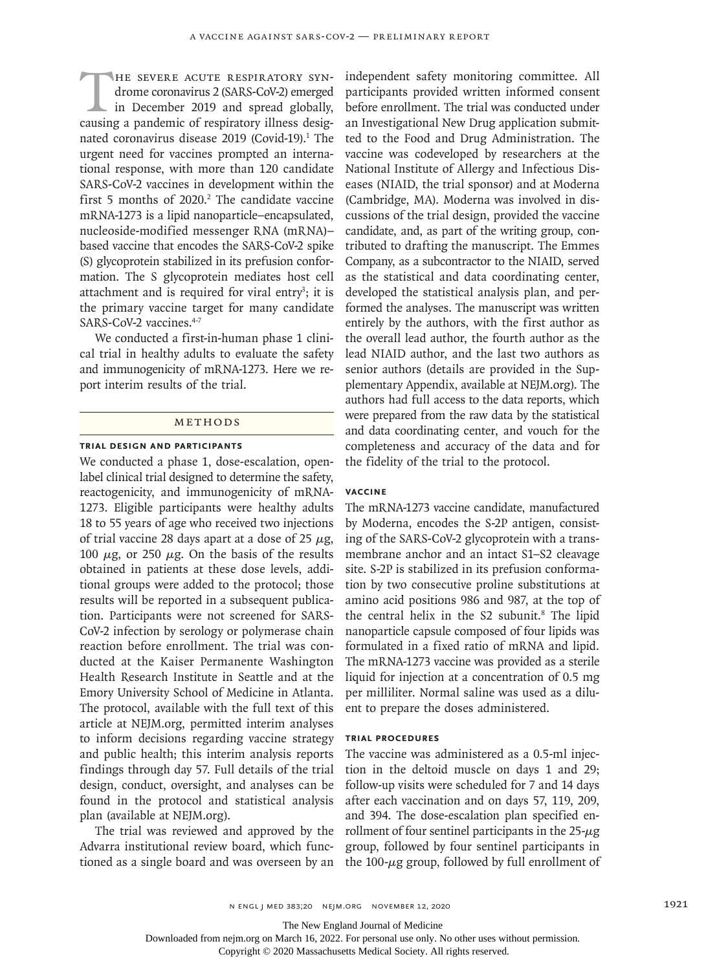HE SEVERE ACUTE RESPIRATORY SYN-<br>drome coronavirus 2 (SARS-CoV-2) emerged<br>in December 2019 and spread globally,<br>causing a pandemic of respiratory illness desigdrome coronavirus 2 (SARS-CoV-2) emerged in December 2019 and spread globally, causing a pandemic of respiratory illness designated coronavirus disease 2019 (Covid-19).<sup>1</sup> The urgent need for vaccines prompted an international response, with more than 120 candidate SARS-CoV-2 vaccines in development within the first 5 months of  $2020$ .<sup>2</sup> The candidate vaccine mRNA-1273 is a lipid nanoparticle–encapsulated, nucleoside-modified messenger RNA (mRNA)– based vaccine that encodes the SARS-CoV-2 spike (S) glycoprotein stabilized in its prefusion conformation. The S glycoprotein mediates host cell attachment and is required for viral entry<sup>3</sup>; it is the primary vaccine target for many candidate SARS-CoV-2 vaccines.<sup>4-7</sup>

We conducted a first-in-human phase 1 clinical trial in healthy adults to evaluate the safety and immunogenicity of mRNA-1273. Here we report interim results of the trial.

# **METHODS**

# **Trial Design and Participants**

We conducted a phase 1, dose-escalation, openlabel clinical trial designed to determine the safety, reactogenicity, and immunogenicity of mRNA-1273. Eligible participants were healthy adults 18 to 55 years of age who received two injections of trial vaccine 28 days apart at a dose of 25  $\mu$ g, 100  $\mu$ g, or 250  $\mu$ g. On the basis of the results obtained in patients at these dose levels, additional groups were added to the protocol; those results will be reported in a subsequent publication. Participants were not screened for SARS-CoV-2 infection by serology or polymerase chain reaction before enrollment. The trial was conducted at the Kaiser Permanente Washington Health Research Institute in Seattle and at the Emory University School of Medicine in Atlanta. The protocol, available with the full text of this article at NEJM.org, permitted interim analyses to inform decisions regarding vaccine strategy and public health; this interim analysis reports findings through day 57. Full details of the trial design, conduct, oversight, and analyses can be found in the protocol and statistical analysis plan (available at NEJM.org).

The trial was reviewed and approved by the Advarra institutional review board, which functioned as a single board and was overseen by an independent safety monitoring committee. All participants provided written informed consent before enrollment. The trial was conducted under an Investigational New Drug application submitted to the Food and Drug Administration. The vaccine was codeveloped by researchers at the National Institute of Allergy and Infectious Diseases (NIAID, the trial sponsor) and at Moderna (Cambridge, MA). Moderna was involved in discussions of the trial design, provided the vaccine candidate, and, as part of the writing group, contributed to drafting the manuscript. The Emmes Company, as a subcontractor to the NIAID, served as the statistical and data coordinating center, developed the statistical analysis plan, and performed the analyses. The manuscript was written entirely by the authors, with the first author as the overall lead author, the fourth author as the lead NIAID author, and the last two authors as senior authors (details are provided in the Supplementary Appendix, available at NEJM.org). The authors had full access to the data reports, which were prepared from the raw data by the statistical and data coordinating center, and vouch for the completeness and accuracy of the data and for the fidelity of the trial to the protocol.

# **Vaccine**

The mRNA-1273 vaccine candidate, manufactured by Moderna, encodes the S-2P antigen, consisting of the SARS-CoV-2 glycoprotein with a transmembrane anchor and an intact S1–S2 cleavage site. S-2P is stabilized in its prefusion conformation by two consecutive proline substitutions at amino acid positions 986 and 987, at the top of the central helix in the S2 subunit.<sup>8</sup> The lipid nanoparticle capsule composed of four lipids was formulated in a fixed ratio of mRNA and lipid. The mRNA-1273 vaccine was provided as a sterile liquid for injection at a concentration of 0.5 mg per milliliter. Normal saline was used as a diluent to prepare the doses administered.

# **Trial Procedures**

The vaccine was administered as a 0.5-ml injection in the deltoid muscle on days 1 and 29; follow-up visits were scheduled for 7 and 14 days after each vaccination and on days 57, 119, 209, and 394. The dose-escalation plan specified enrollment of four sentinel participants in the  $25-\mu g$ group, followed by four sentinel participants in the 100-μg group, followed by full enrollment of

The New England Journal of Medicine

Downloaded from nejm.org on March 16, 2022. For personal use only. No other uses without permission.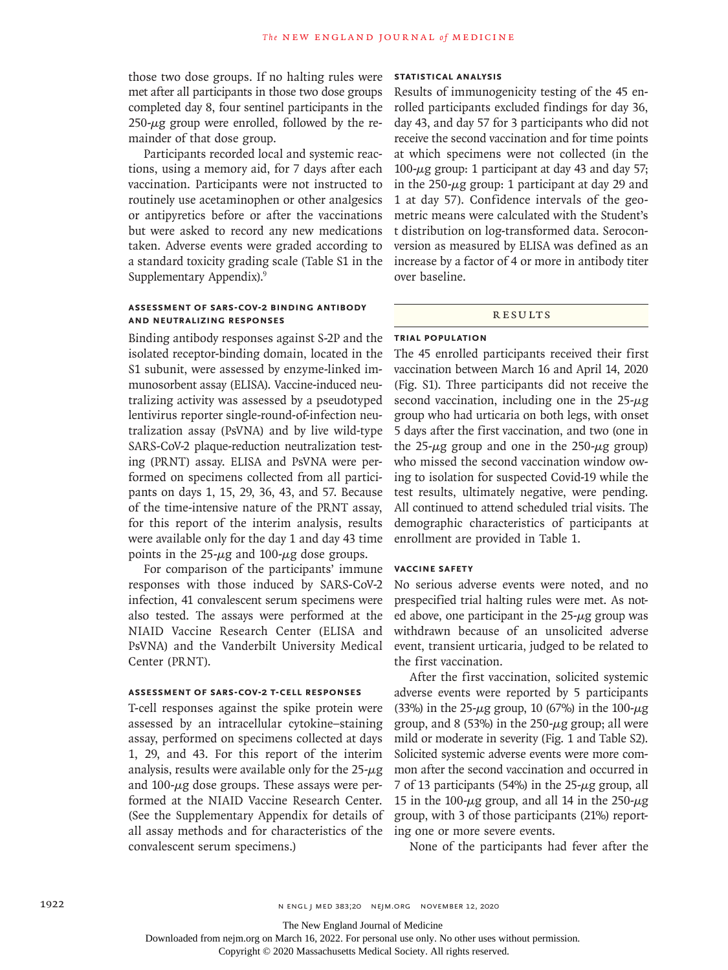those two dose groups. If no halting rules were met after all participants in those two dose groups completed day 8, four sentinel participants in the  $250-\mu$ g group were enrolled, followed by the remainder of that dose group.

Participants recorded local and systemic reactions, using a memory aid, for 7 days after each vaccination. Participants were not instructed to routinely use acetaminophen or other analgesics or antipyretics before or after the vaccinations but were asked to record any new medications taken. Adverse events were graded according to a standard toxicity grading scale (Table S1 in the Supplementary Appendix).9

# **Assessment of SARS-CoV-2 Binding Antibody and Neutralizing Responses**

Binding antibody responses against S-2P and the isolated receptor-binding domain, located in the S1 subunit, were assessed by enzyme-linked immunosorbent assay (ELISA). Vaccine-induced neutralizing activity was assessed by a pseudotyped lentivirus reporter single-round-of-infection neutralization assay (PsVNA) and by live wild-type SARS-CoV-2 plaque-reduction neutralization testing (PRNT) assay. ELISA and PsVNA were performed on specimens collected from all participants on days 1, 15, 29, 36, 43, and 57. Because of the time-intensive nature of the PRNT assay, for this report of the interim analysis, results were available only for the day 1 and day 43 time points in the  $25-\mu g$  and  $100-\mu g$  dose groups.

For comparison of the participants' immune responses with those induced by SARS-CoV-2 infection, 41 convalescent serum specimens were also tested. The assays were performed at the NIAID Vaccine Research Center (ELISA and PsVNA) and the Vanderbilt University Medical Center (PRNT).

# **Assessment of SARS-CoV-2 T-Cell Responses**

T-cell responses against the spike protein were assessed by an intracellular cytokine–staining assay, performed on specimens collected at days 1, 29, and 43. For this report of the interim analysis, results were available only for the  $25-\mu g$ and  $100$ - $\mu$ g dose groups. These assays were performed at the NIAID Vaccine Research Center. (See the Supplementary Appendix for details of all assay methods and for characteristics of the convalescent serum specimens.)

# **Statistical Analysis**

Results of immunogenicity testing of the 45 enrolled participants excluded findings for day 36, day 43, and day 57 for 3 participants who did not receive the second vaccination and for time points at which specimens were not collected (in the  $100$ - $\mu$ g group: 1 participant at day 43 and day 57; in the  $250 - \mu$ g group: 1 participant at day 29 and 1 at day 57). Confidence intervals of the geometric means were calculated with the Student's t distribution on log-transformed data. Seroconversion as measured by ELISA was defined as an increase by a factor of 4 or more in antibody titer over baseline.

#### **RESULTS**

# **Trial Population**

The 45 enrolled participants received their first vaccination between March 16 and April 14, 2020 (Fig. S1). Three participants did not receive the second vaccination, including one in the  $25-\mu g$ group who had urticaria on both legs, with onset 5 days after the first vaccination, and two (one in the  $25-\mu g$  group and one in the  $250-\mu g$  group) who missed the second vaccination window owing to isolation for suspected Covid-19 while the test results, ultimately negative, were pending. All continued to attend scheduled trial visits. The demographic characteristics of participants at enrollment are provided in Table 1.

### **Vaccine Safety**

No serious adverse events were noted, and no prespecified trial halting rules were met. As noted above, one participant in the  $25-\mu$ g group was withdrawn because of an unsolicited adverse event, transient urticaria, judged to be related to the first vaccination.

After the first vaccination, solicited systemic adverse events were reported by 5 participants (33%) in the 25- $\mu$ g group, 10 (67%) in the 100- $\mu$ g group, and 8 (53%) in the  $250 - \mu$ g group; all were mild or moderate in severity (Fig. 1 and Table S2). Solicited systemic adverse events were more common after the second vaccination and occurred in 7 of 13 participants (54%) in the  $25-\mu$ g group, all 15 in the 100- $\mu$ g group, and all 14 in the 250- $\mu$ g group, with 3 of those participants (21%) reporting one or more severe events.

None of the participants had fever after the

Downloaded from nejm.org on March 16, 2022. For personal use only. No other uses without permission.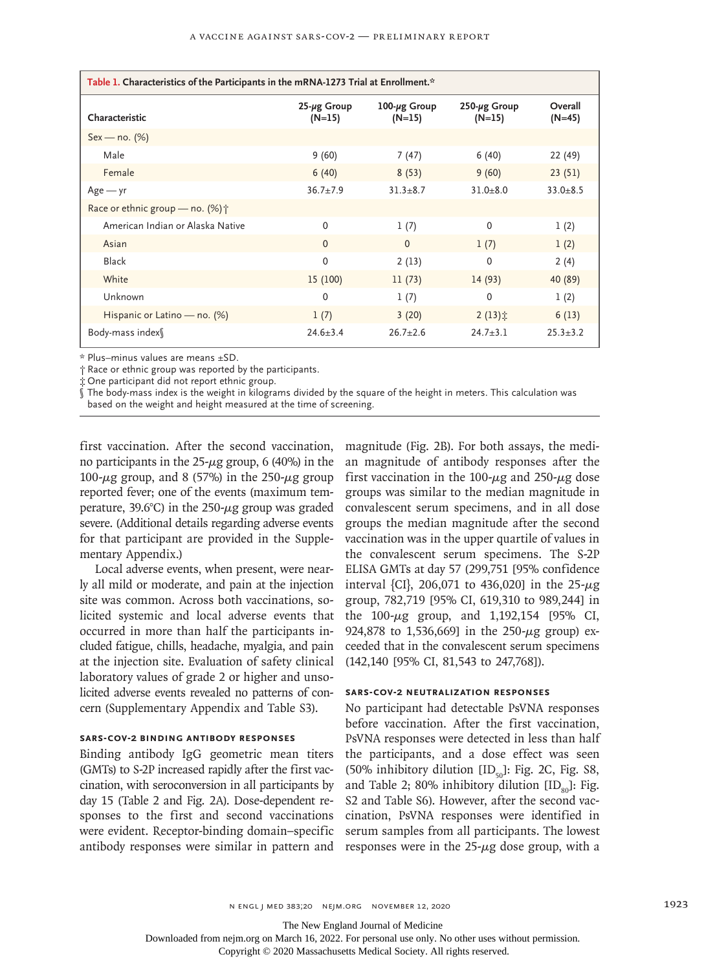| Table 1. Characteristics of the Participants in the mRNA-1273 Trial at Enrollment.* |                                |                                 |                                 |                     |  |  |  |  |  |  |
|-------------------------------------------------------------------------------------|--------------------------------|---------------------------------|---------------------------------|---------------------|--|--|--|--|--|--|
| Characteristic                                                                      | $25 - \mu g$ Group<br>$(N=15)$ | $100 - \mu g$ Group<br>$(N=15)$ | $250 - \mu g$ Group<br>$(N=15)$ | Overall<br>$(N=45)$ |  |  |  |  |  |  |
| $Sex - no. (%)$                                                                     |                                |                                 |                                 |                     |  |  |  |  |  |  |
| Male                                                                                | 9(60)                          | 7(47)                           | 6(40)                           | 22 (49)             |  |  |  |  |  |  |
| Female                                                                              | 6(40)                          | 8(53)                           | 9(60)                           | 23(51)              |  |  |  |  |  |  |
| $Age - yr$                                                                          | $36.7 + 7.9$                   | $31.3 + 8.7$                    | $31.0 + 8.0$                    | $33.0 + 8.5$        |  |  |  |  |  |  |
| Race or ethnic group – no. $(\%)\uparrow$                                           |                                |                                 |                                 |                     |  |  |  |  |  |  |
| American Indian or Alaska Native                                                    | $\mathbf{0}$                   | 1(7)                            | $\Omega$                        | 1(2)                |  |  |  |  |  |  |
| Asian                                                                               | $\Omega$                       | $\Omega$                        | 1(7)                            | 1(2)                |  |  |  |  |  |  |
| <b>Black</b>                                                                        | $\mathbf{0}$                   | 2(13)                           | $\Omega$                        | 2(4)                |  |  |  |  |  |  |
| White                                                                               | 15 (100)                       | 11(73)                          | 14(93)                          | 40 (89)             |  |  |  |  |  |  |
| Unknown                                                                             | 0                              | 1(7)                            | $\Omega$                        | 1(2)                |  |  |  |  |  |  |
| Hispanic or Latino — no. (%)                                                        | 1(7)                           | 3(20)                           | $2(13)$ $\ddot{x}$              | 6(13)               |  |  |  |  |  |  |
| Body-mass index                                                                     | $24.6 \pm 3.4$                 | $26.7 \pm 2.6$                  | $24.7 \pm 3.1$                  | $25.3 \pm 3.2$      |  |  |  |  |  |  |

\* Plus–minus values are means ±SD.

† Race or ethnic group was reported by the participants.

One participant did not report ethnic group.

The body-mass index is the weight in kilograms divided by the square of the height in meters. This calculation was based on the weight and height measured at the time of screening.

first vaccination. After the second vaccination, no participants in the  $25$ - $\mu$ g group, 6 (40%) in the 100-μg group, and 8 (57%) in the 250-μg group reported fever; one of the events (maximum temperature, 39.6°C) in the 250-μg group was graded severe. (Additional details regarding adverse events for that participant are provided in the Supplementary Appendix.)

Local adverse events, when present, were nearly all mild or moderate, and pain at the injection site was common. Across both vaccinations, solicited systemic and local adverse events that occurred in more than half the participants included fatigue, chills, headache, myalgia, and pain at the injection site. Evaluation of safety clinical laboratory values of grade 2 or higher and unsolicited adverse events revealed no patterns of concern (Supplementary Appendix and Table S3).

# **SARS-CoV-2 Binding Antibody Responses**

Binding antibody IgG geometric mean titers (GMTs) to S-2P increased rapidly after the first vaccination, with seroconversion in all participants by day 15 (Table 2 and Fig. 2A). Dose-dependent responses to the first and second vaccinations were evident. Receptor-binding domain–specific antibody responses were similar in pattern and

magnitude (Fig. 2B). For both assays, the median magnitude of antibody responses after the first vaccination in the 100- $\mu$ g and 250- $\mu$ g dose groups was similar to the median magnitude in convalescent serum specimens, and in all dose groups the median magnitude after the second vaccination was in the upper quartile of values in the convalescent serum specimens. The S-2P ELISA GMTs at day 57 (299,751 [95% confidence interval {CI}, 206,071 to 436,020] in the 25- $\mu$ g group, 782,719 [95% CI, 619,310 to 989,244] in the  $100-\mu$ g group, and  $1,192,154$  [95% CI, 924,878 to 1,536,669] in the  $250 - \mu$ g group) exceeded that in the convalescent serum specimens (142,140 [95% CI, 81,543 to 247,768]).

# **SARS-CoV-2 Neutralization Responses**

No participant had detectable PsVNA responses before vaccination. After the first vaccination, PsVNA responses were detected in less than half the participants, and a dose effect was seen (50% inhibitory dilution  $[ID_{50}]$ : Fig. 2C, Fig. S8, and Table 2; 80% inhibitory dilution  $[ID_{o.}]$ : Fig. S2 and Table S6). However, after the second vaccination, PsVNA responses were identified in serum samples from all participants. The lowest responses were in the  $25-\mu$ g dose group, with a

n engl j med 383;20 nejm.org November 12, 2020 1923

The New England Journal of Medicine

Downloaded from nejm.org on March 16, 2022. For personal use only. No other uses without permission.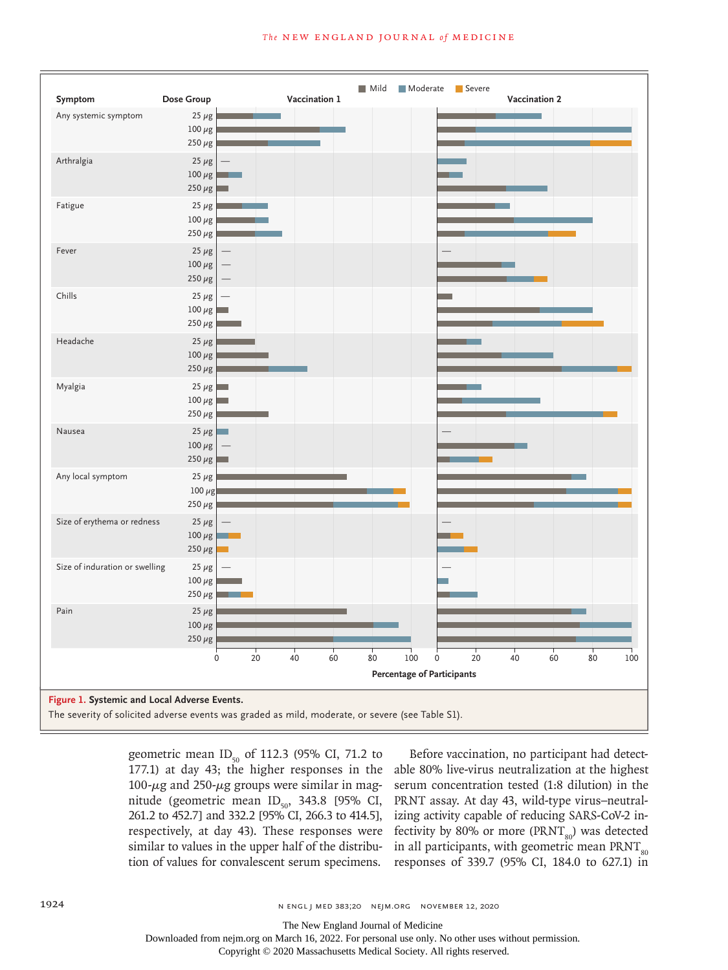

geometric mean  $ID_{50}$  of 112.3 (95% CI, 71.2 to 177.1) at day 43; the higher responses in the 100-μg and 250-μg groups were similar in magnitude (geometric mean  $ID_{50}$ , 343.8 [95% CI, 261.2 to 452.7] and 332.2 [95% CI, 266.3 to 414.5], respectively, at day 43). These responses were similar to values in the upper half of the distribution of values for convalescent serum specimens.

Before vaccination, no participant had detectable 80% live-virus neutralization at the highest serum concentration tested (1:8 dilution) in the PRNT assay. At day 43, wild-type virus–neutralizing activity capable of reducing SARS-CoV-2 infectivity by 80% or more ( $\text{PRNT}_{\text{so}}$ ) was detected in all participants, with geometric mean  $\text{PRNT}_{\text{so}}$ responses of 339.7 (95% CI, 184.0 to 627.1) in

The New England Journal of Medicine

Downloaded from nejm.org on March 16, 2022. For personal use only. No other uses without permission.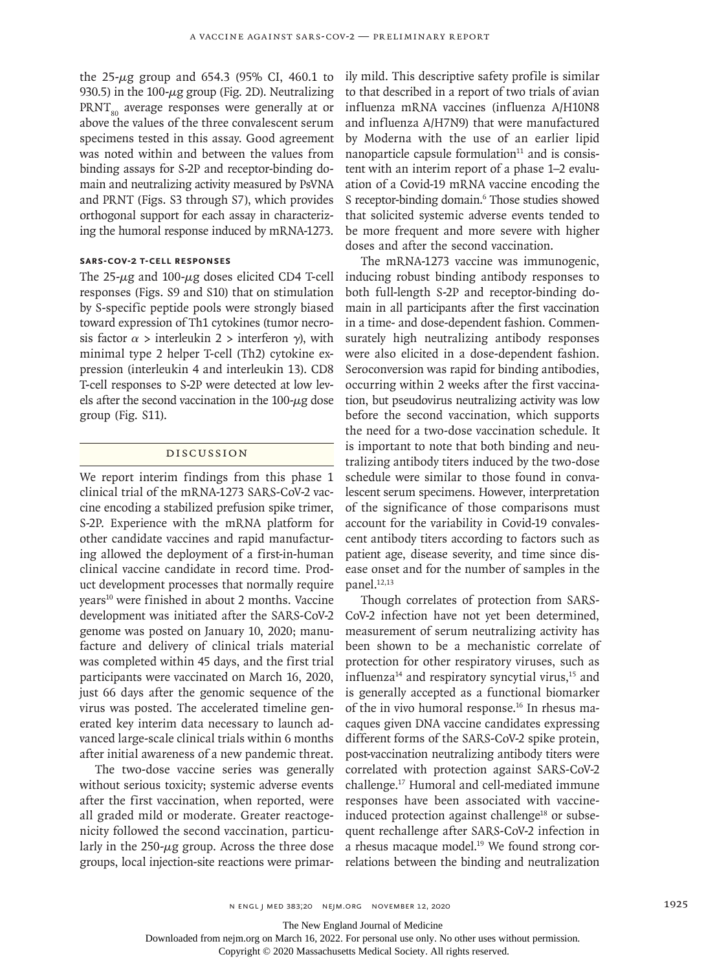the 25-μg group and 654.3 (95% CI, 460.1 to 930.5) in the  $100 - \mu g$  group (Fig. 2D). Neutralizing  $PRNT_{so}$  average responses were generally at or above the values of the three convalescent serum specimens tested in this assay. Good agreement was noted within and between the values from binding assays for S-2P and receptor-binding domain and neutralizing activity measured by PsVNA and PRNT (Figs. S3 through S7), which provides orthogonal support for each assay in characterizing the humoral response induced by mRNA-1273.

# **SARS-CoV-2 T-Cell Responses**

The  $25-\mu$ g and  $100-\mu$ g doses elicited CD4 T-cell responses (Figs. S9 and S10) that on stimulation by S-specific peptide pools were strongly biased toward expression of Th1 cytokines (tumor necrosis factor  $\alpha$  > interleukin 2 > interferon  $\gamma$ ), with minimal type 2 helper T-cell (Th2) cytokine expression (interleukin 4 and interleukin 13). CD8 T-cell responses to S-2P were detected at low levels after the second vaccination in the 100-μg dose group (Fig. S11).

# Discussion

We report interim findings from this phase 1 clinical trial of the mRNA-1273 SARS-CoV-2 vaccine encoding a stabilized prefusion spike trimer, S-2P. Experience with the mRNA platform for other candidate vaccines and rapid manufacturing allowed the deployment of a first-in-human clinical vaccine candidate in record time. Product development processes that normally require years<sup>10</sup> were finished in about 2 months. Vaccine development was initiated after the SARS-CoV-2 genome was posted on January 10, 2020; manufacture and delivery of clinical trials material was completed within 45 days, and the first trial participants were vaccinated on March 16, 2020, just 66 days after the genomic sequence of the virus was posted. The accelerated timeline generated key interim data necessary to launch advanced large-scale clinical trials within 6 months after initial awareness of a new pandemic threat.

The two-dose vaccine series was generally without serious toxicity; systemic adverse events after the first vaccination, when reported, were all graded mild or moderate. Greater reactogenicity followed the second vaccination, particularly in the  $250-\mu g$  group. Across the three dose groups, local injection-site reactions were primarily mild. This descriptive safety profile is similar to that described in a report of two trials of avian influenza mRNA vaccines (influenza A/H10N8 and influenza A/H7N9) that were manufactured by Moderna with the use of an earlier lipid nanoparticle capsule formulation $11$  and is consistent with an interim report of a phase 1–2 evaluation of a Covid-19 mRNA vaccine encoding the S receptor-binding domain.<sup>6</sup> Those studies showed that solicited systemic adverse events tended to be more frequent and more severe with higher doses and after the second vaccination.

The mRNA-1273 vaccine was immunogenic, inducing robust binding antibody responses to both full-length S-2P and receptor-binding domain in all participants after the first vaccination in a time- and dose-dependent fashion. Commensurately high neutralizing antibody responses were also elicited in a dose-dependent fashion. Seroconversion was rapid for binding antibodies, occurring within 2 weeks after the first vaccination, but pseudovirus neutralizing activity was low before the second vaccination, which supports the need for a two-dose vaccination schedule. It is important to note that both binding and neutralizing antibody titers induced by the two-dose schedule were similar to those found in convalescent serum specimens. However, interpretation of the significance of those comparisons must account for the variability in Covid-19 convalescent antibody titers according to factors such as patient age, disease severity, and time since disease onset and for the number of samples in the panel.<sup>12,13</sup>

Though correlates of protection from SARS-CoV-2 infection have not yet been determined, measurement of serum neutralizing activity has been shown to be a mechanistic correlate of protection for other respiratory viruses, such as influenza<sup>14</sup> and respiratory syncytial virus,<sup>15</sup> and is generally accepted as a functional biomarker of the in vivo humoral response.16 In rhesus macaques given DNA vaccine candidates expressing different forms of the SARS-CoV-2 spike protein, post-vaccination neutralizing antibody titers were correlated with protection against SARS-CoV-2 challenge.17 Humoral and cell-mediated immune responses have been associated with vaccineinduced protection against challenge<sup>18</sup> or subsequent rechallenge after SARS-CoV-2 infection in a rhesus macaque model.<sup>19</sup> We found strong correlations between the binding and neutralization

The New England Journal of Medicine

Downloaded from nejm.org on March 16, 2022. For personal use only. No other uses without permission.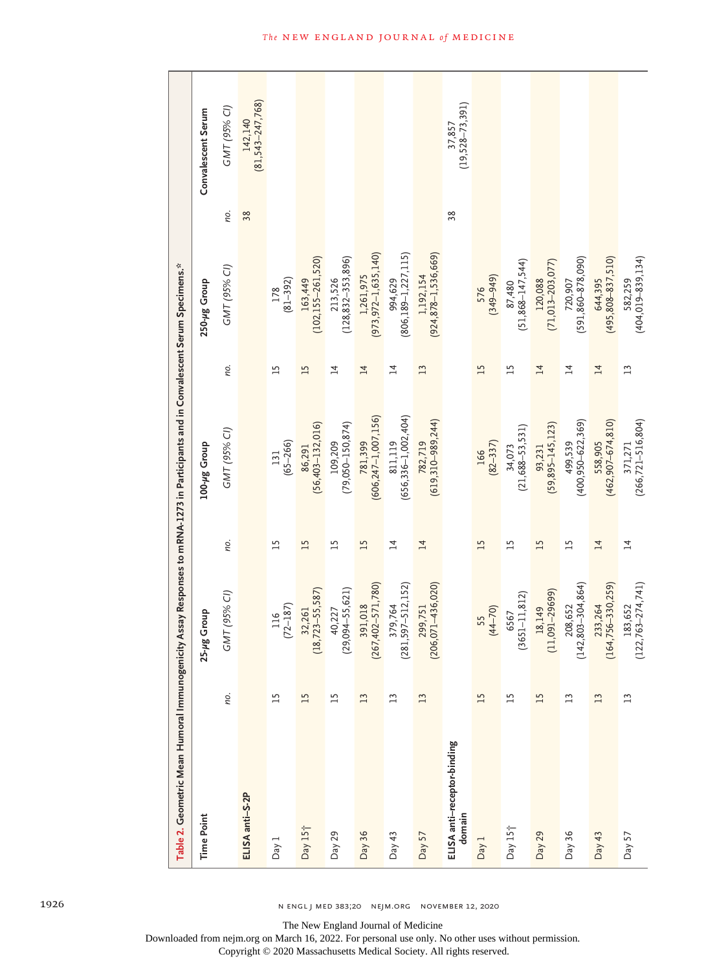| Table 2. Geometric Mean Humoral Immunogenicity Assay Responses to mRNA-1273 in Participants and in Convalescent Serum Specimens.* |                 |                                     |                 |                                |                 |                                                                  |     |                               |
|-----------------------------------------------------------------------------------------------------------------------------------|-----------------|-------------------------------------|-----------------|--------------------------------|-----------------|------------------------------------------------------------------|-----|-------------------------------|
| <b>Time Point</b>                                                                                                                 |                 | 25-µg Group                         |                 | 100-µg Group                   |                 | 250-µg Group                                                     |     | Convalescent Serum            |
|                                                                                                                                   | no.             | GMT (95% CI)                        | no.             | GMT (95% CI)                   | no.             | GMT (95% CI)                                                     | no. | GMT (95% CI)                  |
| ELISA anti-S-2P                                                                                                                   |                 |                                     |                 |                                |                 |                                                                  | 38  | $142,140$<br>(81,543-247,768) |
| Day 1                                                                                                                             | 15              | $\frac{116}{(72-187)}$              | $\overline{15}$ | $131$<br>(65-266)              | $\overline{15}$ | $178$<br>(81-392)                                                |     |                               |
| Day 15 <sup>+</sup>                                                                                                               | 15              | $\frac{32,261}{18,723-55,587}$<br>⇨ | 15              | $86,291$<br>(56,403-132,016)   | 15              | 163,449<br>(102,155–261,520)                                     |     |                               |
| Day 29                                                                                                                            | $\overline{15}$ | $40,227$<br>(29,094-55,621)         | $\overline{1}$  | 109,209<br>(79,050–150,874)    | $\overline{1}$  | 213,526<br>(128,832–353,896)                                     |     |                               |
| Day 36                                                                                                                            | 13              | 391,018<br>(267,402–571,780)        | $\overline{15}$ | 781,399<br>(606,247–1,007,156) | $\overline{14}$ | 1,261,975<br>(973,972–1,635,140)                                 |     |                               |
| Day $43$                                                                                                                          | $\mathbf{L}$    | 379,764<br>(281,597–512,152)        | $\overline{4}$  | 811,119<br>(656,336–1,002,404) | $\overline{4}$  | 994,629<br>(806,189–1,227,115)                                   |     |                               |
| Day 57                                                                                                                            | 13              | 299,751<br>(206,071–436,020)        | $\overline{14}$ | 782,719<br>(619,310–989,244)   | 13              | 1,192,154<br>(924,878–1,536,669)                                 |     |                               |
| ELISA anti-receptor-binding<br>domain                                                                                             |                 |                                     |                 |                                |                 |                                                                  | 38  | $37,857$<br>(19,528–73,391)   |
| Day 1                                                                                                                             | $\overline{15}$ | $\frac{55}{(44-70)}$                | $\overline{15}$ | $166$<br>(82-337)              | 15              | 576<br>(349–949)                                                 |     |                               |
| Day 15 <sup>+</sup>                                                                                                               | 15              | 6567<br>(3651–11,812)               | $\overline{15}$ | $34,073$<br>(21,688-53,531)    | 15              | $87,480$<br>(51,868-147,544)                                     |     |                               |
| Day 29                                                                                                                            | 15              | 18,149<br>(11,091–29699)            | 15              | $93,231$<br>(59,895-145,123)   | $\overline{1}4$ | $\begin{array}{c} 120,088 \\ (71,013{\rm -}203,077) \end{array}$ |     |                               |
| Day 36                                                                                                                            | $\overline{13}$ | 208,652<br>(142,803–304,864)        | $\overline{15}$ | 499,539<br>(400,950–622,369)   | $\overline{1}$  | 720,907<br>(591,860–878,090)                                     |     |                               |
| Day $43$                                                                                                                          | $\mathbf{L}$    | 233,264<br>(164,756–330,259)        | $\overline{14}$ | 558,905<br>(462,907–674,810)   | $\overline{14}$ | 644,395<br>(495,808–837,510)                                     |     |                               |
| Day 57                                                                                                                            | $\mathbf{L}$    | $183,652$<br>$(122,763-274,741)$    | $\overline{14}$ | 371,271<br>(266,721–516,804)   | 13              | 582,259<br>(404,019–839,134)                                     |     |                               |

1926 n engl j med 383;20 nejm.org November 12, 2020

The New England Journal of Medicine

Downloaded from nejm.org on March 16, 2022. For personal use only. No other uses without permission.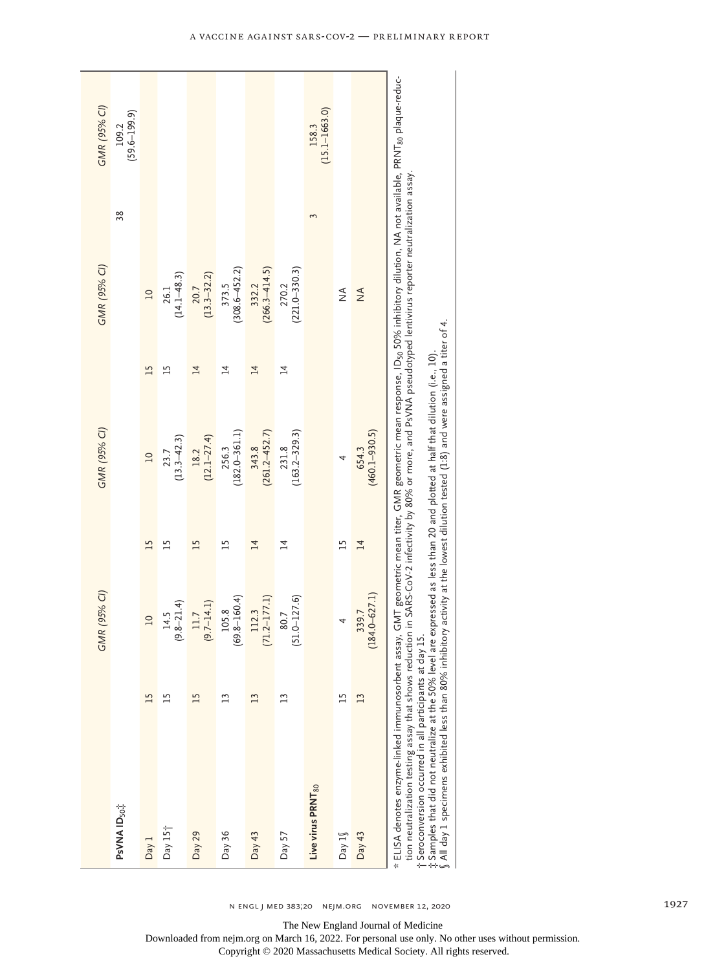| GMR (95% CI) | $(59.6 - 199.9)$<br>109.2 |                 |                       |                       |                            |                            |                            | $(15.1 - 1663.0)$<br>158.3    |                |                            |                                                                                                                                                                                                                                                                                                                                                                                                                                                                                                                                                                        |
|--------------|---------------------------|-----------------|-----------------------|-----------------------|----------------------------|----------------------------|----------------------------|-------------------------------|----------------|----------------------------|------------------------------------------------------------------------------------------------------------------------------------------------------------------------------------------------------------------------------------------------------------------------------------------------------------------------------------------------------------------------------------------------------------------------------------------------------------------------------------------------------------------------------------------------------------------------|
|              | 38                        |                 |                       |                       |                            |                            |                            | 3                             |                |                            |                                                                                                                                                                                                                                                                                                                                                                                                                                                                                                                                                                        |
| GMR (95% CI) |                           | $\overline{10}$ | $26.1$<br>(14.1–48.3) | $20.7$<br>(13.3–32.2) | $(308.6 - 452.2)$<br>373.5 | $(266.3 - 414.5)$<br>332.2 | $(221.0 - 330.3)$<br>270.2 |                               | $\frac{4}{2}$  | $\frac{4}{2}$              |                                                                                                                                                                                                                                                                                                                                                                                                                                                                                                                                                                        |
|              |                           | 15              | $^{15}$               | $\overline{14}$       | $\overline{4}$             | $\overline{14}$            | $\overline{1}$             |                               |                |                            |                                                                                                                                                                                                                                                                                                                                                                                                                                                                                                                                                                        |
| GMR (95% CI) |                           | $\overline{10}$ | $23.7$<br>(13.3–42.3) | $18.2$<br>(12.1-27.4) | $(182.0 - 361.1)$<br>256.3 | $343.8$<br>(261.2–452.7)   | $(163.2 - 329.3)$<br>231.8 |                               | 4              | $(460.1 - 930.5)$<br>654.3 |                                                                                                                                                                                                                                                                                                                                                                                                                                                                                                                                                                        |
|              |                           | 15              | டி                    | $\overline{15}$       | $\overline{1}$             | $\overline{4}$             | $\overline{4}$             |                               | $\overline{1}$ | $\overline{4}$             |                                                                                                                                                                                                                                                                                                                                                                                                                                                                                                                                                                        |
| GMR (95% CI) |                           | $\overline{a}$  | $14.5$<br>(9.8–21.4)  | $11.7$<br>(9.7–14.1)  | $(69.8 - 160.4)$<br>105.8  | $(71.2 - 177.1)$<br>112.3  | $(51.0 - 127.6)$<br>80.7   |                               | 4              | $(184.0 - 627.1)$<br>339.7 |                                                                                                                                                                                                                                                                                                                                                                                                                                                                                                                                                                        |
|              |                           | 15              | 51                    | 15                    | 23                         | 13                         | $\overline{13}$            |                               | $\frac{5}{1}$  | 13                         |                                                                                                                                                                                                                                                                                                                                                                                                                                                                                                                                                                        |
|              | PsVNA ID <sub>50</sub>    | Day 1           | Day $15+$             | Day 29                | Day $36$                   | Day $43$                   | Day 57                     | Live virus PRNT <sub>80</sub> | Day $1\sqrt$   | Day $43$                   | ELISA denotes enzyme-linked immunosorbent assay, GMT geometric mean titer, GMR geometric mean response, ID <sub>30</sub> 50% inhibitory dilution, NA not available, PRNT <sub>80</sub> plaque-reduc-<br>tion neutralization testing assay that shows reduction in SARS-CoV-2 infectivity by 80% or more, and PsVNA pseudotyped lentivirus reporter neutralization assay.<br>.; Samples that did not neutralize at the 50% level are expressed as less than 20 and plotted at half that dilution (i.e., 10).<br>t Seroconversion occurred in all participants at day 15 |

 $\S$  All day 1 specimens exhibited less than 80% inhibitory activity at the lowest dilution tested (1.8) and were assigned a titer of 4. All day 1 specimens exhibited less than 80% inhibitory activity at the lowest dilution tested (1:8) and were assigned a titer of 4.

N ENGL J MED 383;20 NEJM.ORG NOVEMBER 12, 2020

The New England Journal of Medicine Downloaded from nejm.org on March 16, 2022. For personal use only. No other uses without permission. Copyright © 2020 Massachusetts Medical Society. All rights reserved.

ヿ.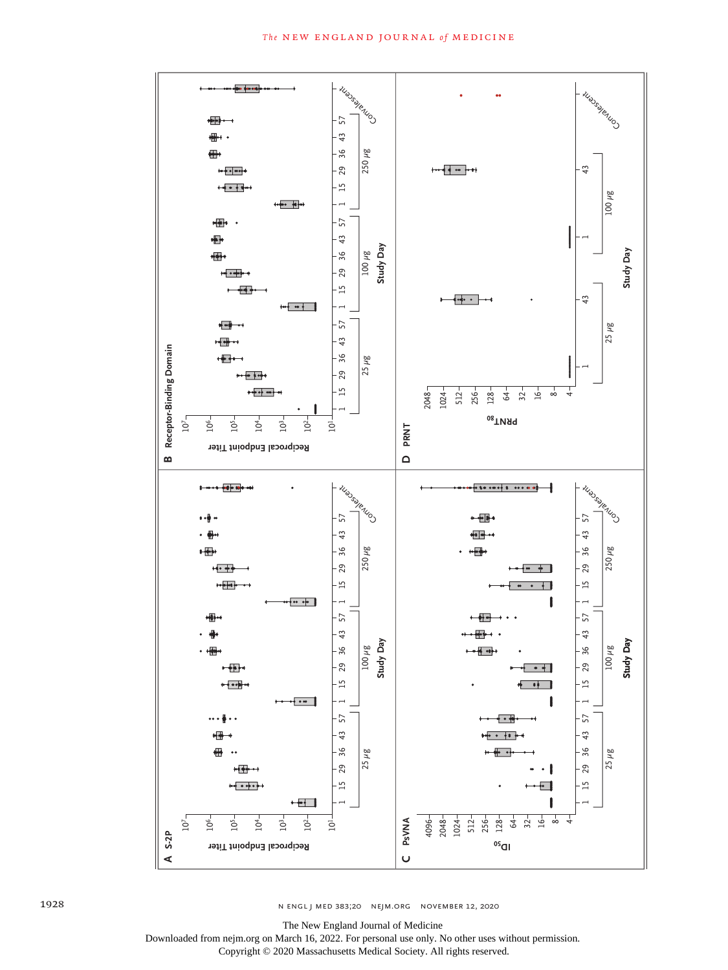

n engl j med 383;20 nejm.org November 12, 2020

The New England Journal of Medicine

Downloaded from nejm.org on March 16, 2022. For personal use only. No other uses without permission.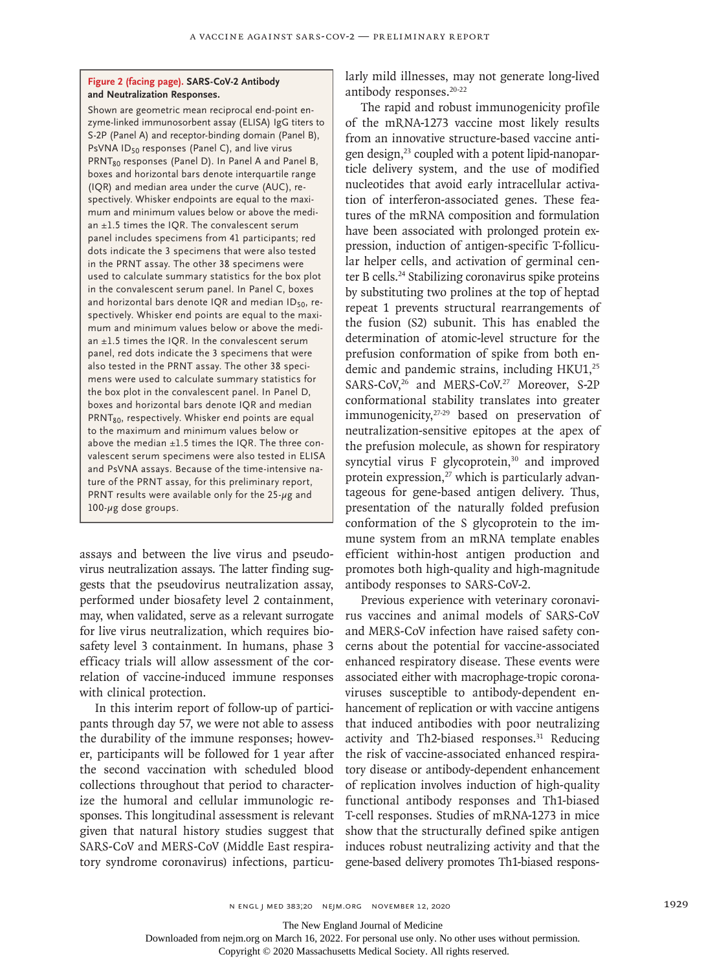# **Figure 2 (facing page). SARS-CoV-2 Antibody and Neutralization Responses.**

Shown are geometric mean reciprocal end-point enzyme-linked immunosorbent assay (ELISA) IgG titers to S-2P (Panel A) and receptor-binding domain (Panel B), PsVNA ID<sub>50</sub> responses (Panel C), and live virus PRNT<sub>80</sub> responses (Panel D). In Panel A and Panel B, boxes and horizontal bars denote interquartile range (IQR) and median area under the curve (AUC), respectively. Whisker endpoints are equal to the maximum and minimum values below or above the median ±1.5 times the IQR. The convalescent serum panel includes specimens from 41 participants; red dots indicate the 3 specimens that were also tested in the PRNT assay. The other 38 specimens were used to calculate summary statistics for the box plot in the convalescent serum panel. In Panel C, boxes and horizontal bars denote IQR and median ID<sub>50</sub>, respectively. Whisker end points are equal to the maximum and minimum values below or above the median  $\pm 1.5$  times the IQR. In the convalescent serum panel, red dots indicate the 3 specimens that were also tested in the PRNT assay. The other 38 specimens were used to calculate summary statistics for the box plot in the convalescent panel. In Panel D, boxes and horizontal bars denote IQR and median PRNT<sub>80</sub>, respectively. Whisker end points are equal to the maximum and minimum values below or above the median  $\pm 1.5$  times the IQR. The three convalescent serum specimens were also tested in ELISA and PsVNA assays. Because of the time-intensive nature of the PRNT assay, for this preliminary report, PRNT results were available only for the 25- $\mu$ g and 100-μg dose groups.

assays and between the live virus and pseudovirus neutralization assays. The latter finding suggests that the pseudovirus neutralization assay, performed under biosafety level 2 containment, may, when validated, serve as a relevant surrogate for live virus neutralization, which requires biosafety level 3 containment. In humans, phase 3 efficacy trials will allow assessment of the correlation of vaccine-induced immune responses with clinical protection.

In this interim report of follow-up of participants through day 57, we were not able to assess the durability of the immune responses; however, participants will be followed for 1 year after the second vaccination with scheduled blood collections throughout that period to characterize the humoral and cellular immunologic responses. This longitudinal assessment is relevant given that natural history studies suggest that SARS-CoV and MERS-CoV (Middle East respiratory syndrome coronavirus) infections, particularly mild illnesses, may not generate long-lived antibody responses.20-22

The rapid and robust immunogenicity profile of the mRNA-1273 vaccine most likely results from an innovative structure-based vaccine antigen design,23 coupled with a potent lipid-nanoparticle delivery system, and the use of modified nucleotides that avoid early intracellular activation of interferon-associated genes. These features of the mRNA composition and formulation have been associated with prolonged protein expression, induction of antigen-specific T-follicular helper cells, and activation of germinal center B cells.<sup>24</sup> Stabilizing coronavirus spike proteins by substituting two prolines at the top of heptad repeat 1 prevents structural rearrangements of the fusion (S2) subunit. This has enabled the determination of atomic-level structure for the prefusion conformation of spike from both endemic and pandemic strains, including HKU1,<sup>25</sup> SARS-CoV,<sup>26</sup> and MERS-CoV.<sup>27</sup> Moreover, S-2P conformational stability translates into greater immunogenicity,<sup>27-29</sup> based on preservation of neutralization-sensitive epitopes at the apex of the prefusion molecule, as shown for respiratory syncytial virus F glycoprotein,<sup>30</sup> and improved protein expression, $27$  which is particularly advantageous for gene-based antigen delivery. Thus, presentation of the naturally folded prefusion conformation of the S glycoprotein to the immune system from an mRNA template enables efficient within-host antigen production and promotes both high-quality and high-magnitude antibody responses to SARS-CoV-2.

Previous experience with veterinary coronavirus vaccines and animal models of SARS-CoV and MERS-CoV infection have raised safety concerns about the potential for vaccine-associated enhanced respiratory disease. These events were associated either with macrophage-tropic coronaviruses susceptible to antibody-dependent enhancement of replication or with vaccine antigens that induced antibodies with poor neutralizing activity and Th2-biased responses.<sup>31</sup> Reducing the risk of vaccine-associated enhanced respiratory disease or antibody-dependent enhancement of replication involves induction of high-quality functional antibody responses and Th1-biased T-cell responses. Studies of mRNA-1273 in mice show that the structurally defined spike antigen induces robust neutralizing activity and that the gene-based delivery promotes Th1-biased respons-

The New England Journal of Medicine

Downloaded from nejm.org on March 16, 2022. For personal use only. No other uses without permission.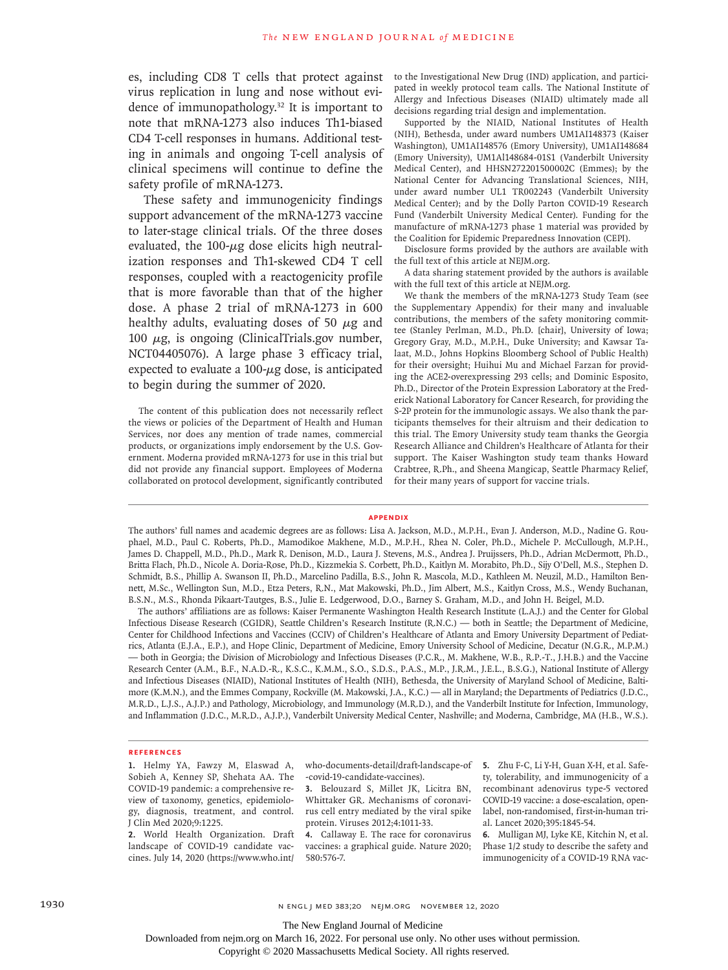es, including CD8 T cells that protect against virus replication in lung and nose without evidence of immunopathology.32 It is important to note that mRNA-1273 also induces Th1-biased CD4 T-cell responses in humans. Additional testing in animals and ongoing T-cell analysis of clinical specimens will continue to define the safety profile of mRNA-1273.

These safety and immunogenicity findings support advancement of the mRNA-1273 vaccine to later-stage clinical trials. Of the three doses evaluated, the 100- $\mu$ g dose elicits high neutralization responses and Th1-skewed CD4 T cell responses, coupled with a reactogenicity profile that is more favorable than that of the higher dose. A phase 2 trial of mRNA-1273 in 600 healthy adults, evaluating doses of 50  $\mu$ g and 100  $μ$ g, is ongoing (ClinicalTrials.gov number, NCT04405076). A large phase 3 efficacy trial, expected to evaluate a  $100$ - $\mu$ g dose, is anticipated to begin during the summer of 2020.

The content of this publication does not necessarily reflect the views or policies of the Department of Health and Human Services, nor does any mention of trade names, commercial products, or organizations imply endorsement by the U.S. Government. Moderna provided mRNA-1273 for use in this trial but did not provide any financial support. Employees of Moderna collaborated on protocol development, significantly contributed

to the Investigational New Drug (IND) application, and participated in weekly protocol team calls. The National Institute of Allergy and Infectious Diseases (NIAID) ultimately made all decisions regarding trial design and implementation.

Supported by the NIAID, National Institutes of Health (NIH), Bethesda, under award numbers UM1AI148373 (Kaiser Washington), UM1AI148576 (Emory University), UM1AI148684 (Emory University), UM1Al148684-01S1 (Vanderbilt University Medical Center), and HHSN272201500002C (Emmes); by the National Center for Advancing Translational Sciences, NIH, under award number UL1 TR002243 (Vanderbilt University Medical Center); and by the Dolly Parton COVID-19 Research Fund (Vanderbilt University Medical Center). Funding for the manufacture of mRNA-1273 phase 1 material was provided by the Coalition for Epidemic Preparedness Innovation (CEPI).

Disclosure forms provided by the authors are available with the full text of this article at NEJM.org.

A data sharing statement provided by the authors is available with the full text of this article at NEJM.org.

We thank the members of the mRNA-1273 Study Team (see the Supplementary Appendix) for their many and invaluable contributions, the members of the safety monitoring committee (Stanley Perlman, M.D., Ph.D. [chair], University of Iowa; Gregory Gray, M.D., M.P.H., Duke University; and Kawsar Talaat, M.D., Johns Hopkins Bloomberg School of Public Health) for their oversight; Huihui Mu and Michael Farzan for providing the ACE2-overexpressing 293 cells; and Dominic Esposito, Ph.D., Director of the Protein Expression Laboratory at the Frederick National Laboratory for Cancer Research, for providing the S-2P protein for the immunologic assays. We also thank the participants themselves for their altruism and their dedication to this trial. The Emory University study team thanks the Georgia Research Alliance and Children's Healthcare of Atlanta for their support. The Kaiser Washington study team thanks Howard Crabtree, R.Ph., and Sheena Mangicap, Seattle Pharmacy Relief, for their many years of support for vaccine trials.

#### **Appendix**

The authors' full names and academic degrees are as follows: Lisa A. Jackson, M.D., M.P.H., Evan J. Anderson, M.D., Nadine G. Rouphael, M.D., Paul C. Roberts, Ph.D., Mamodikoe Makhene, M.D., M.P.H., Rhea N. Coler, Ph.D., Michele P. McCullough, M.P.H., James D. Chappell, M.D., Ph.D., Mark R. Denison, M.D., Laura J. Stevens, M.S., Andrea J. Pruijssers, Ph.D., Adrian McDermott, Ph.D., Britta Flach, Ph.D., Nicole A. Doria-Rose, Ph.D., Kizzmekia S. Corbett, Ph.D., Kaitlyn M. Morabito, Ph.D., Sijy O'Dell, M.S., Stephen D. Schmidt, B.S., Phillip A. Swanson II, Ph.D., Marcelino Padilla, B.S., John R. Mascola, M.D., Kathleen M. Neuzil, M.D., Hamilton Bennett, M.Sc., Wellington Sun, M.D., Etza Peters, R.N., Mat Makowski, Ph.D., Jim Albert, M.S., Kaitlyn Cross, M.S., Wendy Buchanan, B.S.N., M.S., Rhonda Pikaart-Tautges, B.S., Julie E. Ledgerwood, D.O., Barney S. Graham, M.D., and John H. Beigel, M.D.

The authors' affiliations are as follows: Kaiser Permanente Washington Health Research Institute (L.A.J.) and the Center for Global Infectious Disease Research (CGIDR), Seattle Children's Research Institute (R.N.C.) — both in Seattle; the Department of Medicine, Center for Childhood Infections and Vaccines (CCIV) of Children's Healthcare of Atlanta and Emory University Department of Pediatrics, Atlanta (E.J.A., E.P.), and Hope Clinic, Department of Medicine, Emory University School of Medicine, Decatur (N.G.R., M.P.M.) — both in Georgia; the Division of Microbiology and Infectious Diseases (P.C.R., M. Makhene, W.B., R.P.-T., J.H.B.) and the Vaccine Research Center (A.M., B.F., N.A.D.-R., K.S.C., K.M.M., S.O., S.D.S., P.A.S., M.P., J.R.M., J.E.L., B.S.G.), National Institute of Allergy and Infectious Diseases (NIAID), National Institutes of Health (NIH), Bethesda, the University of Maryland School of Medicine, Baltimore (K.M.N.), and the Emmes Company, Rockville (M. Makowski, J.A., K.C.) — all in Maryland; the Departments of Pediatrics (J.D.C., M.R.D., L.J.S., A.J.P.) and Pathology, Microbiology, and Immunology (M.R.D.), and the Vanderbilt Institute for Infection, Immunology, and Inflammation (J.D.C., M.R.D., A.J.P.), Vanderbilt University Medical Center, Nashville; and Moderna, Cambridge, MA (H.B., W.S.).

#### **References**

**1.** Helmy YA, Fawzy M, Elaswad A, Sobieh A, Kenney SP, Shehata AA. The COVID-19 pandemic: a comprehensive review of taxonomy, genetics, epidemiology, diagnosis, treatment, and control. J Clin Med 2020;9:1225.

**2.** World Health Organization. Draft landscape of COVID-19 candidate vaccines. July 14, 2020 (https://www.who.int/ -covid-19-candidate-vaccines).

**3.** Belouzard S, Millet JK, Licitra BN, Whittaker GR. Mechanisms of coronavirus cell entry mediated by the viral spike protein. Viruses 2012;4:1011-33.

**4.** Callaway E. The race for coronavirus vaccines: a graphical guide. Nature 2020; 580:576-7.

who-documents-detail/draft-landscape-of **5.** Zhu F-C, Li Y-H, Guan X-H, et al. Safety, tolerability, and immunogenicity of a recombinant adenovirus type-5 vectored COVID-19 vaccine: a dose-escalation, openlabel, non-randomised, first-in-human trial. Lancet 2020;395:1845-54.

**6.** Mulligan MJ, Lyke KE, Kitchin N, et al. Phase 1/2 study to describe the safety and immunogenicity of a COVID-19 RNA vac-

Downloaded from nejm.org on March 16, 2022. For personal use only. No other uses without permission.